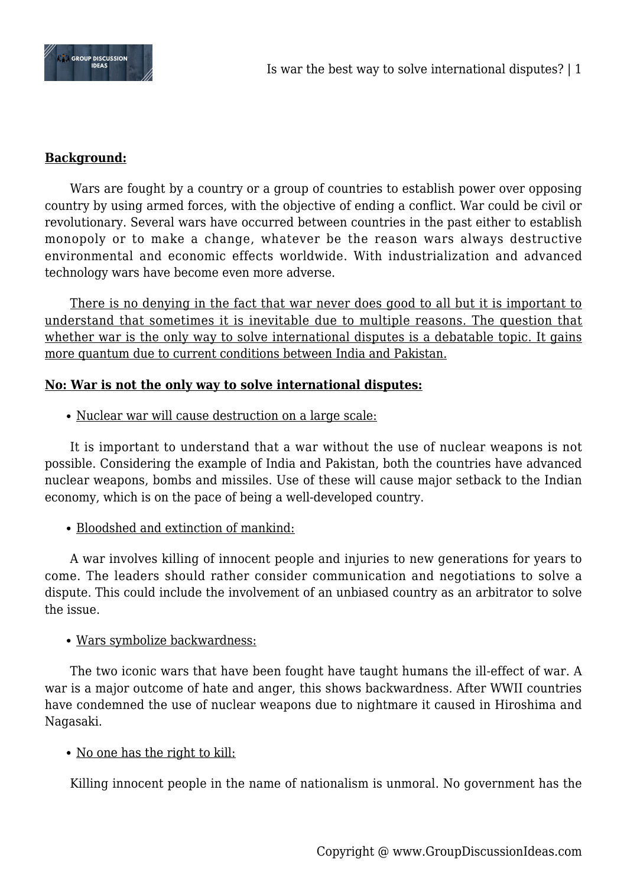

# **Background:**

Wars are fought by a country or a group of countries to establish power over opposing country by using armed forces, with the objective of ending a conflict. War could be civil or revolutionary. Several wars have occurred between countries in the past either to establish monopoly or to make a change, whatever be the reason wars always destructive environmental and economic effects worldwide. With industrialization and advanced technology wars have become even more adverse.

There is no denying in the fact that war never does good to all but it is important to understand that sometimes it is inevitable due to multiple reasons. The question that whether war is the only way to solve international disputes is a debatable topic. It gains more quantum due to current conditions between India and Pakistan.

#### **No: War is not the only way to solve international disputes:**

Nuclear war will cause destruction on a large scale:

It is important to understand that a war without the use of nuclear weapons is not possible. Considering the example of India and Pakistan, both the countries have advanced nuclear weapons, bombs and missiles. Use of these will cause major setback to the Indian economy, which is on the pace of being a well-developed country.

• Bloodshed and extinction of mankind:

A war involves killing of innocent people and injuries to new generations for years to come. The leaders should rather consider communication and negotiations to solve a dispute. This could include the involvement of an unbiased country as an arbitrator to solve the issue.

#### Wars symbolize backwardness:

The two iconic wars that have been fought have taught humans the ill-effect of war. A war is a major outcome of hate and anger, this shows backwardness. After WWII countries have condemned the use of nuclear weapons due to nightmare it caused in Hiroshima and Nagasaki.

# No one has the right to kill:

Killing innocent people in the name of nationalism is unmoral. No government has the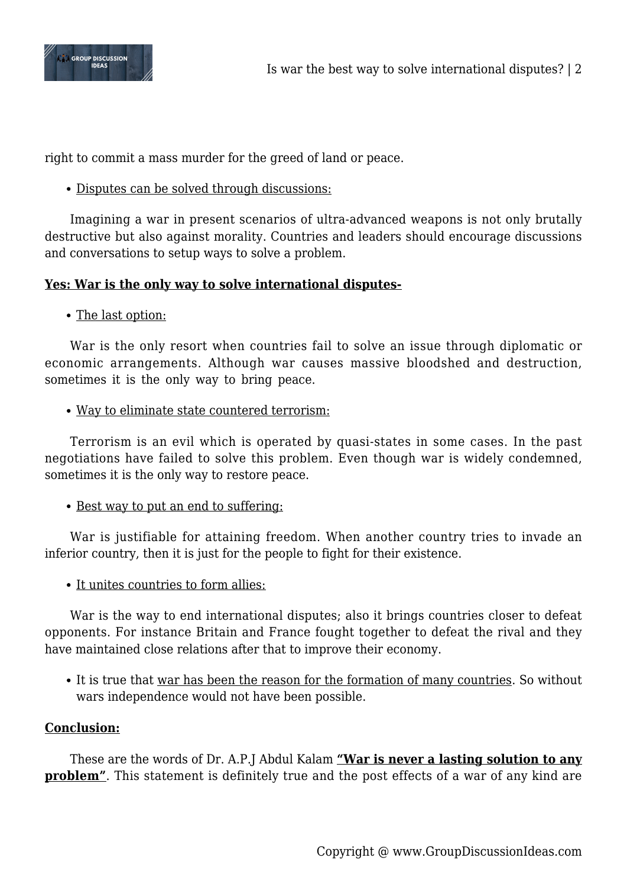

right to commit a mass murder for the greed of land or peace.

Disputes can be solved through discussions:

Imagining a war in present scenarios of ultra-advanced weapons is not only brutally destructive but also against morality. Countries and leaders should encourage discussions and conversations to setup ways to solve a problem.

# **Yes: War is the only way to solve international disputes-**

• The last option:

War is the only resort when countries fail to solve an issue through diplomatic or economic arrangements. Although war causes massive bloodshed and destruction, sometimes it is the only way to bring peace.

Way to eliminate state countered terrorism:

Terrorism is an evil which is operated by quasi-states in some cases. In the past negotiations have failed to solve this problem. Even though war is widely condemned, sometimes it is the only way to restore peace.

• Best way to put an end to suffering:

War is justifiable for attaining freedom. When another country tries to invade an inferior country, then it is just for the people to fight for their existence.

• It unites countries to form allies:

War is the way to end international disputes; also it brings countries closer to defeat opponents. For instance Britain and France fought together to defeat the rival and they have maintained close relations after that to improve their economy.

• It is true that war has been the reason for the formation of many countries. So without wars independence would not have been possible.

# **Conclusion:**

These are the words of Dr. A.P.J Abdul Kalam **"War is never a lasting solution to any problem**". This statement is definitely true and the post effects of a war of any kind are